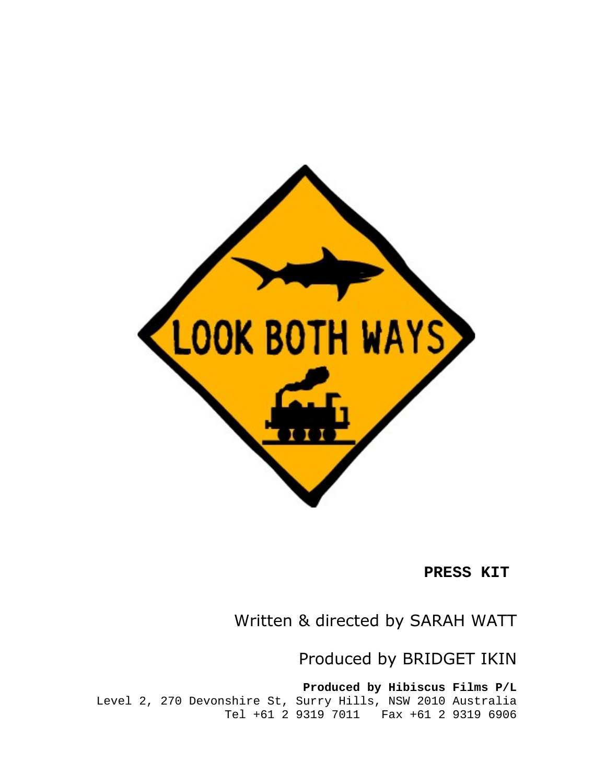

**PRESS KIT**

Written & directed by SARAH WATT

Produced by BRIDGET IKIN

**Produced by Hibiscus Films P/L** Level 2, 270 Devonshire St, Surry Hills, NSW 2010 Australia Tel +61 2 9319 7011 Fax +61 2 9319 6906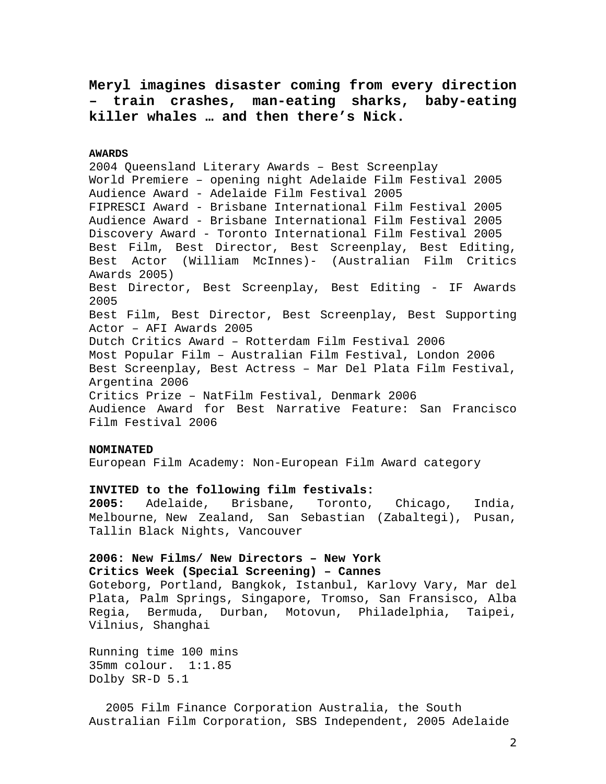**Meryl imagines disaster coming from every direction – train crashes, man-eating sharks, baby-eating killer whales … and then there's Nick.**

**AWARDS**

2004 Queensland Literary Awards – Best Screenplay World Premiere – opening night Adelaide Film Festival 2005 Audience Award - Adelaide Film Festival 2005 FIPRESCI Award - Brisbane International Film Festival 2005 Audience Award - Brisbane International Film Festival 2005 Discovery Award - Toronto International Film Festival 2005 Best Film, Best Director, Best Screenplay, Best Editing, Best Actor (William McInnes)- (Australian Film Critics Awards 2005) Best Director, Best Screenplay, Best Editing - IF Awards 2005 Best Film, Best Director, Best Screenplay, Best Supporting Actor – AFI Awards 2005 Dutch Critics Award – Rotterdam Film Festival 2006 Most Popular Film – Australian Film Festival, London 2006 Best Screenplay, Best Actress – Mar Del Plata Film Festival, Argentina 2006 Critics Prize – NatFilm Festival, Denmark 2006 Audience Award for Best Narrative Feature: San Francisco Film Festival 2006

## **NOMINATED**

European Film Academy: Non-European Film Award category

# **INVITED to the following film festivals:**

**2005:** Adelaide, Brisbane, Toronto, Chicago, India, Melbourne, New Zealand, San Sebastian (Zabaltegi), Pusan, Tallin Black Nights, Vancouver

# **2006: New Films/ New Directors – New York Critics Week (Special Screening) – Cannes**

Goteborg, Portland, Bangkok, Istanbul, Karlovy Vary, Mar del Plata, Palm Springs, Singapore, Tromso, San Fransisco, Alba Regia, Bermuda, Durban, Motovun, Philadelphia, Taipei, Vilnius, Shanghai

Running time 100 mins 35mm colour. 1:1.85 Dolby SR-D 5.1

 2005 Film Finance Corporation Australia, the South Australian Film Corporation, SBS Independent, 2005 Adelaide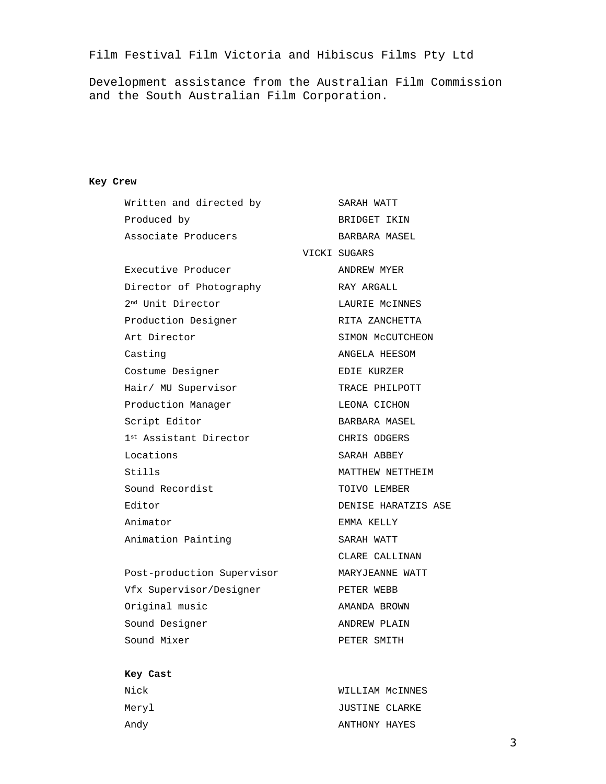Film Festival Film Victoria and Hibiscus Films Pty Ltd

Development assistance from the Australian Film Commission and the South Australian Film Corporation.

# **Key Crew**

| Written and directed by       | SARAH WATT          |
|-------------------------------|---------------------|
| Produced by                   | BRIDGET IKIN        |
| Associate Producers           | BARBARA MASEL       |
|                               | VICKI SUGARS        |
| Executive Producer            | ANDREW MYER         |
| Director of Photography       | RAY ARGALL          |
| 2 <sup>nd</sup> Unit Director | LAURIE MCINNES      |
| Production Designer           | RITA ZANCHETTA      |
| Art Director                  | SIMON MCCUTCHEON    |
| Casting                       | ANGELA HEESOM       |
| Costume Designer              | EDIE KURZER         |
| Hair/ MU Supervisor           | TRACE PHILPOTT      |
| Production Manager            | LEONA CICHON        |
| Script Editor                 | BARBARA MASEL       |
| 1st Assistant Director        | CHRIS ODGERS        |
| Locations                     | SARAH ABBEY         |
| Stills                        | MATTHEW NETTHEIM    |
| Sound Recordist               | TOIVO LEMBER        |
| Editor                        | DENISE HARATZIS ASE |
| Animator                      | EMMA KELLY          |
| Animation Painting            | SARAH WATT          |
|                               | CLARE CALLINAN      |
| Post-production Supervisor    | MARYJEANNE WATT     |
| Vfx Supervisor/Designer       | PETER WEBB          |
| Original music                | AMANDA BROWN        |
| Sound Designer                | ANDREW PLAIN        |

# **Key Cast**

| Nick  | WILLIAM MCINNES |  |
|-------|-----------------|--|
| Meryl | JUSTINE CLARKE  |  |
| Andy  | ANTHONY HAYES   |  |

Sound Mixer PETER SMITH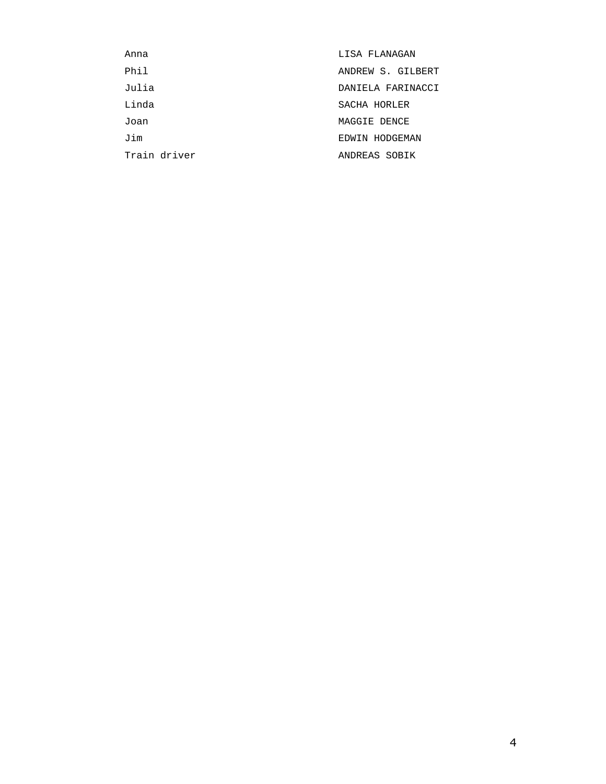| Anna         | LISA FLANAGAN     |
|--------------|-------------------|
| Phil         | ANDREW S. GILBERT |
| Julia        | DANIELA FARINACCI |
| Linda        | SACHA HORLER      |
| Joan         | MAGGIE DENCE      |
| Jim          | EDWIN HODGEMAN    |
| Train driver | ANDREAS SOBIK     |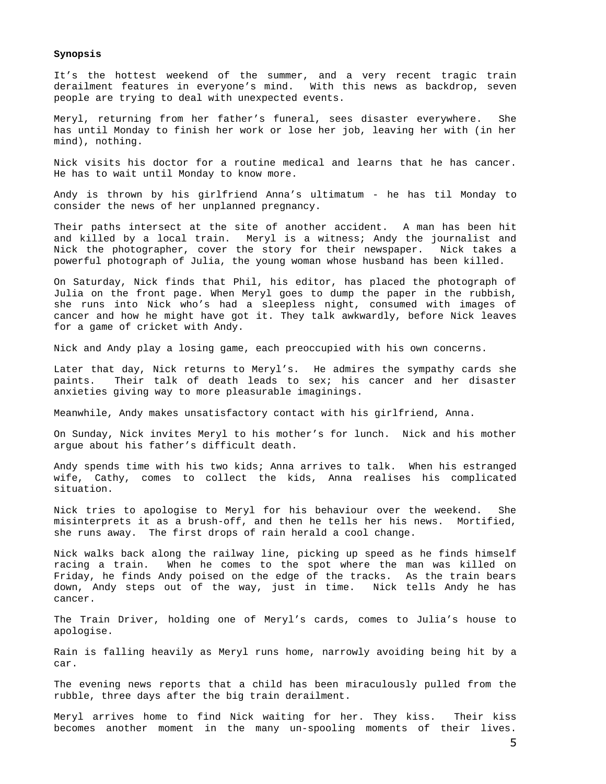#### **Synopsis**

It's the hottest weekend of the summer, and a very recent tragic train derailment features in everyone's mind. With this news as backdrop, seven people are trying to deal with unexpected events.

Meryl, returning from her father's funeral, sees disaster everywhere. She has until Monday to finish her work or lose her job, leaving her with (in her mind), nothing.

Nick visits his doctor for a routine medical and learns that he has cancer. He has to wait until Monday to know more.

Andy is thrown by his girlfriend Anna's ultimatum - he has til Monday to consider the news of her unplanned pregnancy.

Their paths intersect at the site of another accident. A man has been hit and killed by a local train. Meryl is a witness; Andy the journalist and Nick the photographer, cover the story for their newspaper. Nick takes a powerful photograph of Julia, the young woman whose husband has been killed.

On Saturday, Nick finds that Phil, his editor, has placed the photograph of Julia on the front page. When Meryl goes to dump the paper in the rubbish, she runs into Nick who's had a sleepless night, consumed with images of cancer and how he might have got it. They talk awkwardly, before Nick leaves for a game of cricket with Andy.

Nick and Andy play a losing game, each preoccupied with his own concerns.

Later that day, Nick returns to Meryl's. He admires the sympathy cards she paints. Their talk of death leads to sex; his cancer and her disaster anxieties giving way to more pleasurable imaginings.

Meanwhile, Andy makes unsatisfactory contact with his girlfriend, Anna.

On Sunday, Nick invites Meryl to his mother's for lunch. Nick and his mother argue about his father's difficult death.

Andy spends time with his two kids; Anna arrives to talk. When his estranged wife, Cathy, comes to collect the kids, Anna realises his complicated situation.

Nick tries to apologise to Meryl for his behaviour over the weekend. She misinterprets it as a brush-off, and then he tells her his news. Mortified, she runs away. The first drops of rain herald a cool change.

Nick walks back along the railway line, picking up speed as he finds himself racing a train. When he comes to the spot where the man was killed on Friday, he finds Andy poised on the edge of the tracks. As the train bears down, Andy steps out of the way, just in time. Nick tells Andy he has cancer.

The Train Driver, holding one of Meryl's cards, comes to Julia's house to apologise.

Rain is falling heavily as Meryl runs home, narrowly avoiding being hit by a car.

The evening news reports that a child has been miraculously pulled from the rubble, three days after the big train derailment.

Meryl arrives home to find Nick waiting for her. They kiss. Their kiss becomes another moment in the many un-spooling moments of their lives.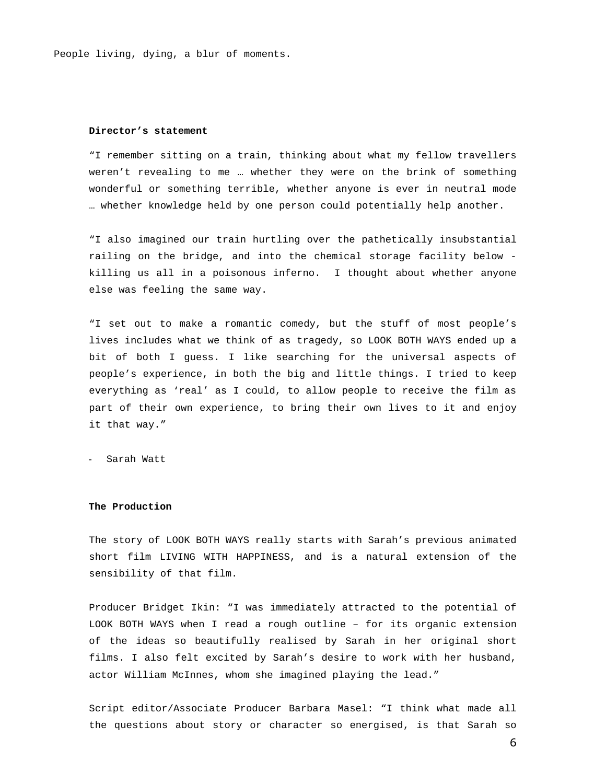People living, dying, a blur of moments.

### **Director's statement**

"I remember sitting on a train, thinking about what my fellow travellers weren't revealing to me … whether they were on the brink of something wonderful or something terrible, whether anyone is ever in neutral mode … whether knowledge held by one person could potentially help another.

"I also imagined our train hurtling over the pathetically insubstantial railing on the bridge, and into the chemical storage facility below killing us all in a poisonous inferno. I thought about whether anyone else was feeling the same way.

"I set out to make a romantic comedy, but the stuff of most people's lives includes what we think of as tragedy, so LOOK BOTH WAYS ended up a bit of both I guess. I like searching for the universal aspects of people's experience, in both the big and little things. I tried to keep everything as 'real' as I could, to allow people to receive the film as part of their own experience, to bring their own lives to it and enjoy it that way."

- Sarah Watt

### **The Production**

The story of LOOK BOTH WAYS really starts with Sarah's previous animated short film LIVING WITH HAPPINESS, and is a natural extension of the sensibility of that film.

Producer Bridget Ikin: "I was immediately attracted to the potential of LOOK BOTH WAYS when I read a rough outline – for its organic extension of the ideas so beautifully realised by Sarah in her original short films. I also felt excited by Sarah's desire to work with her husband, actor William McInnes, whom she imagined playing the lead."

Script editor/Associate Producer Barbara Masel: "I think what made all the questions about story or character so energised, is that Sarah so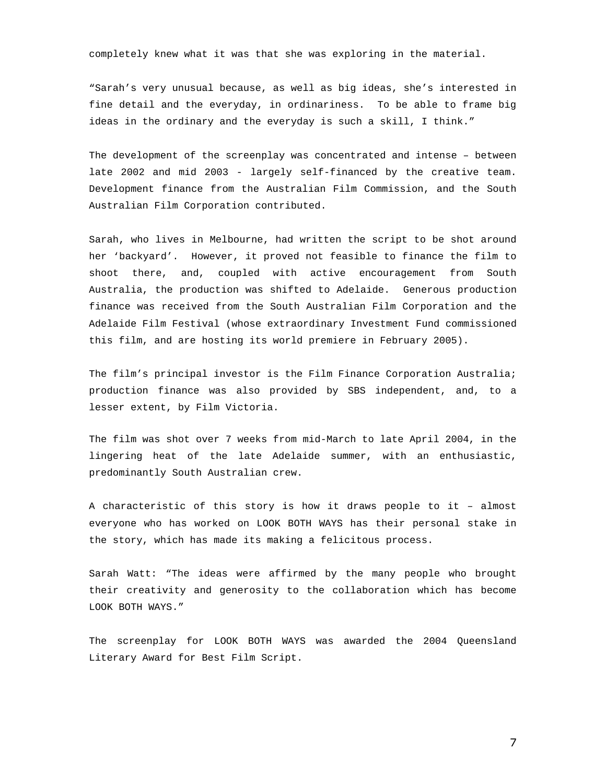completely knew what it was that she was exploring in the material.

"Sarah's very unusual because, as well as big ideas, she's interested in fine detail and the everyday, in ordinariness. To be able to frame big ideas in the ordinary and the everyday is such a skill, I think."

The development of the screenplay was concentrated and intense – between late 2002 and mid 2003 - largely self-financed by the creative team. Development finance from the Australian Film Commission, and the South Australian Film Corporation contributed.

Sarah, who lives in Melbourne, had written the script to be shot around her 'backyard'. However, it proved not feasible to finance the film to shoot there, and, coupled with active encouragement from South Australia, the production was shifted to Adelaide. Generous production finance was received from the South Australian Film Corporation and the Adelaide Film Festival (whose extraordinary Investment Fund commissioned this film, and are hosting its world premiere in February 2005).

The film's principal investor is the Film Finance Corporation Australia; production finance was also provided by SBS independent, and, to a lesser extent, by Film Victoria.

The film was shot over 7 weeks from mid-March to late April 2004, in the lingering heat of the late Adelaide summer, with an enthusiastic, predominantly South Australian crew.

A characteristic of this story is how it draws people to it – almost everyone who has worked on LOOK BOTH WAYS has their personal stake in the story, which has made its making a felicitous process.

Sarah Watt: "The ideas were affirmed by the many people who brought their creativity and generosity to the collaboration which has become LOOK BOTH WAYS."

The screenplay for LOOK BOTH WAYS was awarded the 2004 Queensland Literary Award for Best Film Script.

7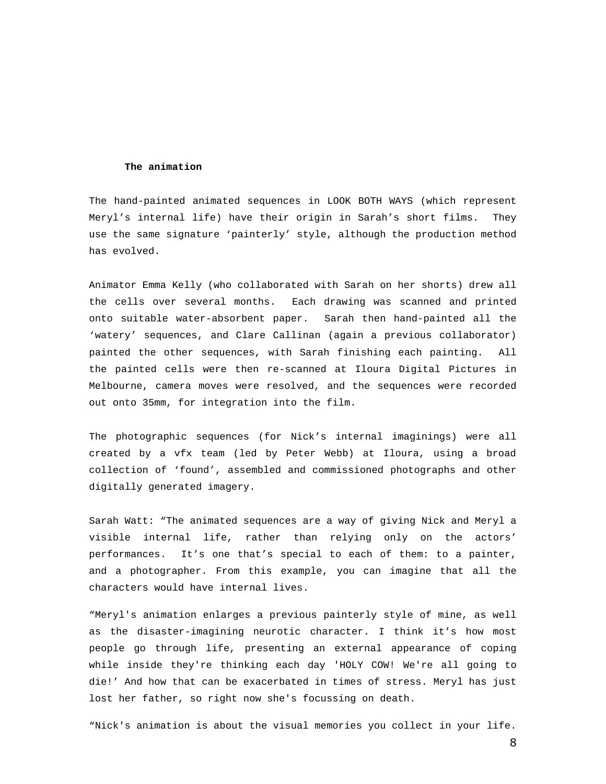#### **The animation**

The hand-painted animated sequences in LOOK BOTH WAYS (which represent Meryl's internal life) have their origin in Sarah's short films. They use the same signature 'painterly' style, although the production method has evolved.

Animator Emma Kelly (who collaborated with Sarah on her shorts) drew all the cells over several months. Each drawing was scanned and printed onto suitable water-absorbent paper. Sarah then hand-painted all the 'watery' sequences, and Clare Callinan (again a previous collaborator) painted the other sequences, with Sarah finishing each painting. All the painted cells were then re-scanned at Iloura Digital Pictures in Melbourne, camera moves were resolved, and the sequences were recorded out onto 35mm, for integration into the film.

The photographic sequences (for Nick's internal imaginings) were all created by a vfx team (led by Peter Webb) at Iloura, using a broad collection of 'found', assembled and commissioned photographs and other digitally generated imagery.

Sarah Watt: "The animated sequences are a way of giving Nick and Meryl a visible internal life, rather than relying only on the actors' performances. It's one that's special to each of them: to a painter, and a photographer. From this example, you can imagine that all the characters would have internal lives.

"Meryl's animation enlarges a previous painterly style of mine, as well as the disaster-imagining neurotic character. I think it's how most people go through life, presenting an external appearance of coping while inside they're thinking each day 'HOLY COW! We're all going to die!' And how that can be exacerbated in times of stress. Meryl has just lost her father, so right now she's focussing on death.

"Nick's animation is about the visual memories you collect in your life.

8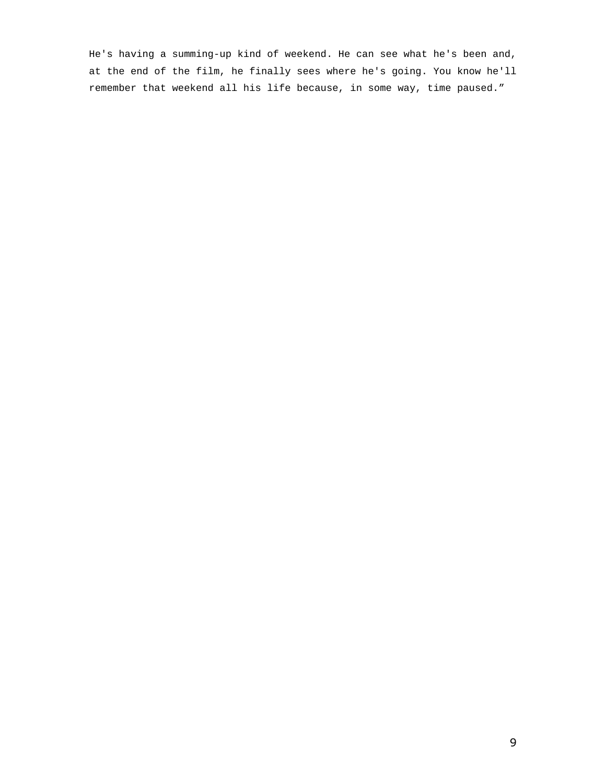He's having a summing-up kind of weekend. He can see what he's been and, at the end of the film, he finally sees where he's going. You know he'll remember that weekend all his life because, in some way, time paused."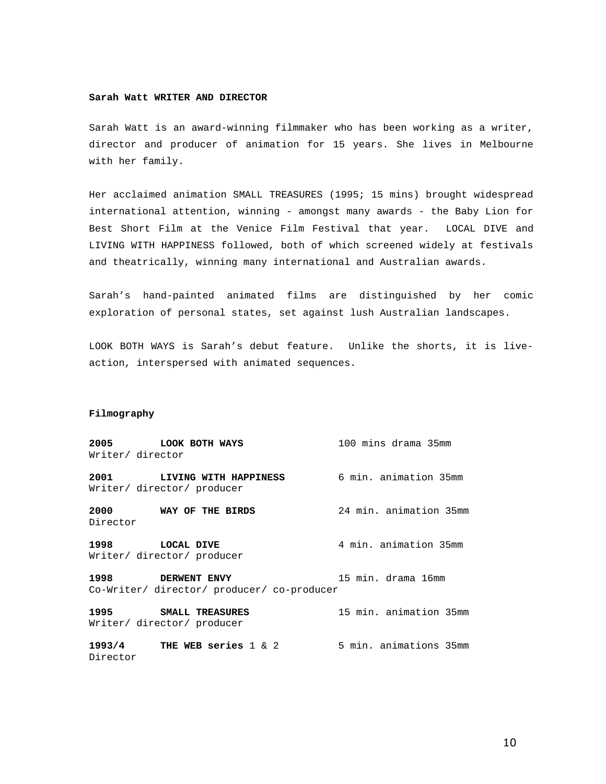## **Sarah Watt WRITER AND DIRECTOR**

Sarah Watt is an award-winning filmmaker who has been working as a writer, director and producer of animation for 15 years. She lives in Melbourne with her family.

Her acclaimed animation SMALL TREASURES (1995; 15 mins) brought widespread international attention, winning - amongst many awards - the Baby Lion for Best Short Film at the Venice Film Festival that year. LOCAL DIVE and LIVING WITH HAPPINESS followed, both of which screened widely at festivals and theatrically, winning many international and Australian awards.

Sarah's hand-painted animated films are distinguished by her comic exploration of personal states, set against lush Australian landscapes.

LOOK BOTH WAYS is Sarah's debut feature. Unlike the shorts, it is liveaction, interspersed with animated sequences.

## **Filmography**

|                  | 2005 LOOK BOTH WAYS                                             | 100 mins drama 35mm    |
|------------------|-----------------------------------------------------------------|------------------------|
| Writer/ director |                                                                 |                        |
|                  | 2001 LIVING WITH HAPPINESS<br>Writer/ director/ producer        | 6 min. animation 35mm  |
| Director         | 2000 WAY OF THE BIRDS                                           | 24 min. animation 35mm |
|                  | 1998 LOCAL DIVE<br>Writer/ director/ producer                   | 4 min. animation 35mm  |
|                  | 1998 DERWENT ENVY<br>Co-Writer/ director/ producer/ co-producer | 15 min. drama 16mm     |
|                  | 1995 SMALL TREASURES<br>Writer/ director/ producer              | 15 min. animation 35mm |
| Director         | $1993/4$ THE WEB series $1 \& 2$                                | 5 min. animations 35mm |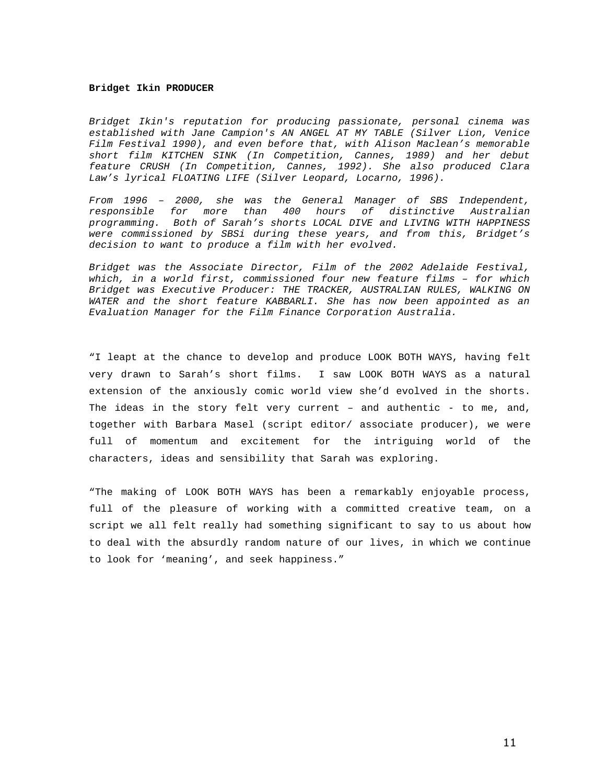#### **Bridget Ikin PRODUCER**

Bridget Ikin's reputation for producing passionate, personal cinema was established with Jane Campion's AN ANGEL AT MY TABLE (Silver Lion, Venice Film Festival 1990), and even before that, with Alison Maclean's memorable short film KITCHEN SINK (In Competition, Cannes, 1989) and her debut feature CRUSH (In Competition, Cannes, 1992). She also produced Clara Law's lyrical FLOATING LIFE (Silver Leopard, Locarno, 1996).

From 1996 – 2000, she was the General Manager of SBS Independent, responsible for more than 400 hours of distinctive Australian programming. Both of Sarah's shorts LOCAL DIVE and LIVING WITH HAPPINESS were commissioned by SBSi during these years, and from this, Bridget's decision to want to produce a film with her evolved.

Bridget was the Associate Director, Film of the 2002 Adelaide Festival, which, in a world first, commissioned four new feature films – for which Bridget was Executive Producer: THE TRACKER, AUSTRALIAN RULES, WALKING ON WATER and the short feature KABBARLI. She has now been appointed as an Evaluation Manager for the Film Finance Corporation Australia.

"I leapt at the chance to develop and produce LOOK BOTH WAYS, having felt very drawn to Sarah's short films. I saw LOOK BOTH WAYS as a natural extension of the anxiously comic world view she'd evolved in the shorts. The ideas in the story felt very current – and authentic - to me, and, together with Barbara Masel (script editor/ associate producer), we were full of momentum and excitement for the intriguing world of the characters, ideas and sensibility that Sarah was exploring.

"The making of LOOK BOTH WAYS has been a remarkably enjoyable process, full of the pleasure of working with a committed creative team, on a script we all felt really had something significant to say to us about how to deal with the absurdly random nature of our lives, in which we continue to look for 'meaning', and seek happiness."

11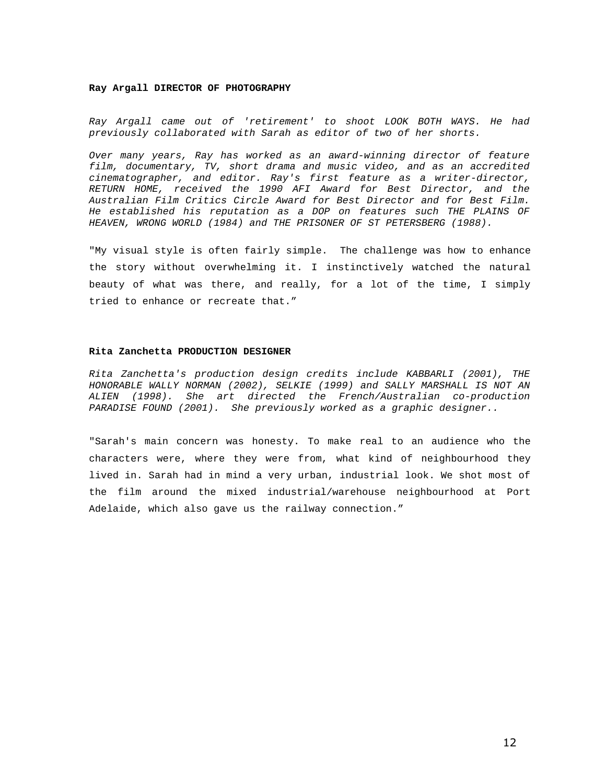#### **Ray Argall DIRECTOR OF PHOTOGRAPHY**

Ray Argall came out of 'retirement' to shoot LOOK BOTH WAYS. He had previously collaborated with Sarah as editor of two of her shorts.

Over many years, Ray has worked as an award-winning director of feature film, documentary, TV, short drama and music video, and as an accredited cinematographer, and editor. Ray's first feature as a writer-director, RETURN HOME, received the 1990 AFI Award for Best Director, and the Australian Film Critics Circle Award for Best Director and for Best Film. He established his reputation as a DOP on features such THE PLAINS OF HEAVEN, WRONG WORLD (1984) and THE PRISONER OF ST PETERSBERG (1988).

"My visual style is often fairly simple. The challenge was how to enhance the story without overwhelming it. I instinctively watched the natural beauty of what was there, and really, for a lot of the time, I simply tried to enhance or recreate that."

### **Rita Zanchetta PRODUCTION DESIGNER**

Rita Zanchetta's production design credits include KABBARLI (2001), THE HONORABLE WALLY NORMAN (2002), SELKIE (1999) and SALLY MARSHALL IS NOT AN ALIEN (1998). She art directed the French/Australian co-production PARADISE FOUND (2001). She previously worked as a graphic designer..

"Sarah's main concern was honesty. To make real to an audience who the characters were, where they were from, what kind of neighbourhood they lived in. Sarah had in mind a very urban, industrial look. We shot most of the film around the mixed industrial/warehouse neighbourhood at Port Adelaide, which also gave us the railway connection."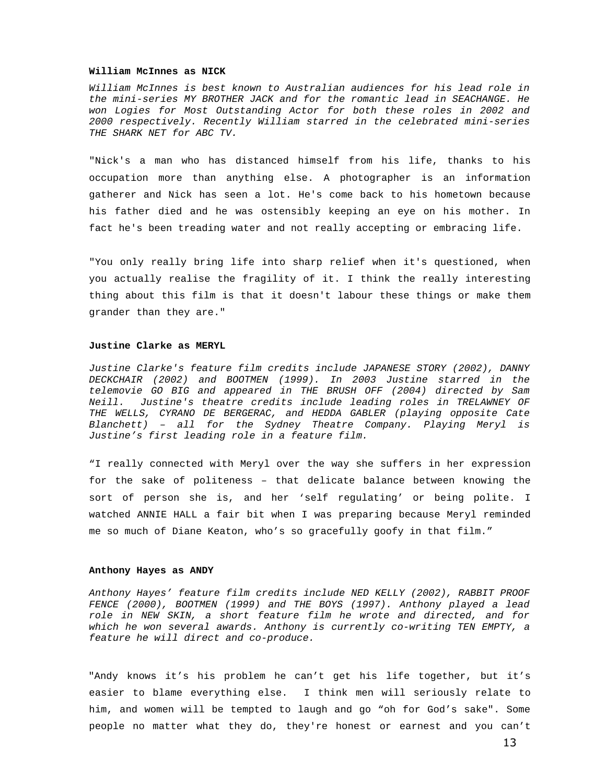### **William McInnes as NICK**

William McInnes is best known to Australian audiences for his lead role in the mini-series MY BROTHER JACK and for the romantic lead in SEACHANGE. He won Logies for Most Outstanding Actor for both these roles in 2002 and 2000 respectively. Recently William starred in the celebrated mini-series THE SHARK NET for ABC TV.

"Nick's a man who has distanced himself from his life, thanks to his occupation more than anything else. A photographer is an information gatherer and Nick has seen a lot. He's come back to his hometown because his father died and he was ostensibly keeping an eye on his mother. In fact he's been treading water and not really accepting or embracing life.

"You only really bring life into sharp relief when it's questioned, when you actually realise the fragility of it. I think the really interesting thing about this film is that it doesn't labour these things or make them grander than they are."

### **Justine Clarke as MERYL**

Justine Clarke's feature film credits include JAPANESE STORY (2002), DANNY DECKCHAIR (2002) and BOOTMEN (1999). In 2003 Justine starred in the telemovie GO BIG and appeared in THE BRUSH OFF (2004) directed by Sam Neill. Justine's theatre credits include leading roles in TRELAWNEY OF THE WELLS, CYRANO DE BERGERAC, and HEDDA GABLER (playing opposite Cate Blanchett) – all for the Sydney Theatre Company. Playing Meryl is Justine's first leading role in a feature film.

"I really connected with Meryl over the way she suffers in her expression for the sake of politeness – that delicate balance between knowing the sort of person she is, and her 'self regulating' or being polite. I watched ANNIE HALL a fair bit when I was preparing because Meryl reminded me so much of Diane Keaton, who's so gracefully goofy in that film."

### **Anthony Hayes as ANDY**

Anthony Hayes' feature film credits include NED KELLY (2002), RABBIT PROOF FENCE (2000), BOOTMEN (1999) and THE BOYS (1997). Anthony played a lead role in NEW SKIN, a short feature film he wrote and directed, and for which he won several awards. Anthony is currently co-writing TEN EMPTY, a feature he will direct and co-produce.

"Andy knows it's his problem he can't get his life together, but it's easier to blame everything else. I think men will seriously relate to him, and women will be tempted to laugh and go "oh for God's sake". Some people no matter what they do, they're honest or earnest and you can't